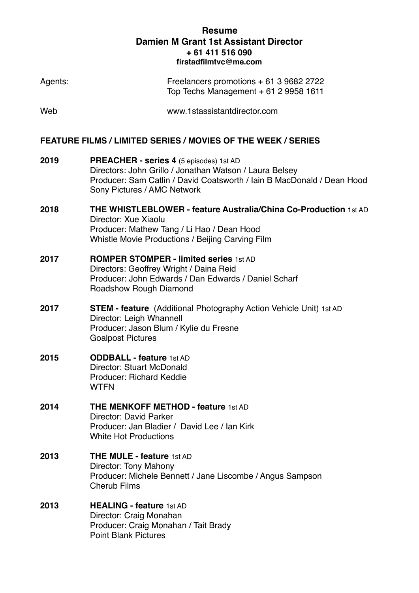Top Techs Management + 61 2 9958 1611

Agents: Freelancers promotions + 61 3 9682 2722

| Web                                                                 | www.1stassistantdirector.com                                                                                                                                                                                |
|---------------------------------------------------------------------|-------------------------------------------------------------------------------------------------------------------------------------------------------------------------------------------------------------|
| <b>FEATURE FILMS / LIMITED SERIES / MOVIES OF THE WEEK / SERIES</b> |                                                                                                                                                                                                             |
| 2019                                                                | PREACHER - series 4 (5 episodes) 1st AD<br>Directors: John Grillo / Jonathan Watson / Laura Belsey<br>Producer: Sam Catlin / David Coatsworth / Jain B MacDonald / Dean Hood<br>Sony Pictures / AMC Network |
| 2018                                                                | THE WHISTLEBLOWER - feature Australia/China Co-Production 1st AD<br>Director: Xue Xiaolu<br>Producer: Mathew Tang / Li Hao / Dean Hood<br>Whistle Movie Productions / Beijing Carving Film                  |
| 2017                                                                | <b>ROMPER STOMPER - limited series 1st AD</b><br>Directors: Geoffrey Wright / Daina Reid<br>Producer: John Edwards / Dan Edwards / Daniel Scharf<br>Roadshow Rough Diamond                                  |
| 2017                                                                | <b>STEM - feature</b> (Additional Photography Action Vehicle Unit) 1st AD<br>Director: Leigh Whannell<br>Producer: Jason Blum / Kylie du Fresne<br><b>Goalpost Pictures</b>                                 |
| 2015                                                                | <b>ODDBALL - feature 1st AD</b><br><b>Director: Stuart McDonald</b><br>Producer: Richard Keddie<br><b>WTFN</b>                                                                                              |
| 2014                                                                | <b>THE MENKOFF METHOD - feature 1st AD</b><br>Director: David Parker<br>Producer: Jan Bladier / David Lee / Ian Kirk<br><b>White Hot Productions</b>                                                        |
| 2013                                                                | <b>THE MULE - feature 1st AD</b><br>Director: Tony Mahony<br>Producer: Michele Bennett / Jane Liscombe / Angus Sampson<br><b>Cherub Films</b>                                                               |
| 2013                                                                | <b>HEALING - feature 1st AD</b><br>Director: Craig Monahan<br>Producer: Craig Monahan / Tait Brady<br><b>Point Blank Pictures</b>                                                                           |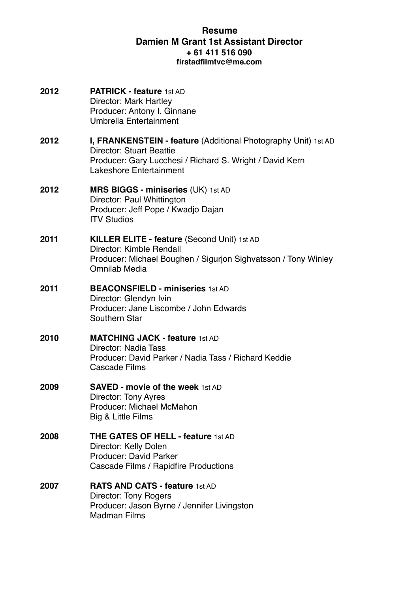**2012 PATRICK - feature** 1st AD Director: Mark Hartley Producer: Antony I. Ginnane Umbrella Entertainment **2012 I, FRANKENSTEIN - feature** (Additional Photography Unit) 1st AD Director: Stuart Beattie Producer: Gary Lucchesi / Richard S. Wright / David Kern Lakeshore Entertainment **2012 MRS BIGGS - miniseries** (UK) 1st AD Director: Paul Whittington Producer: Jeff Pope / Kwadjo Dajan ITV Studios **2011 KILLER ELITE - feature (Second Unit) 1st AD** Director: Kimble Rendall Producer: Michael Boughen / Sigurjon Sighvatsson / Tony Winley Omnilab Media **2011 BEACONSFIELD - miniseries** 1st AD Director: Glendyn Ivin Producer: Jane Liscombe / John Edwards Southern Star **2010 MATCHING JACK - feature** 1st AD Director: Nadia Tass Producer: David Parker / Nadia Tass / Richard Keddie Cascade Films **2009 SAVED - movie of the week** 1st AD Director: Tony Ayres Producer: Michael McMahon Big & Little Films **2008 THE GATES OF HELL - feature** 1st AD Director: Kelly Dolen Producer: David Parker Cascade Films / Rapidfire Productions **2007 RATS AND CATS - feature** 1st AD Director: Tony Rogers Producer: Jason Byrne / Jennifer Livingston Madman Films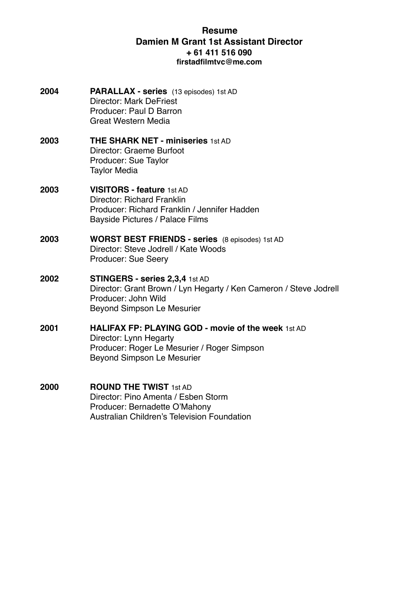- **2004 PARALLAX series** (13 episodes) 1st AD Director: Mark DeFriest Producer: Paul D Barron Great Western Media
- **2003 THE SHARK NET miniseries** 1st AD Director: Graeme Burfoot Producer: Sue Taylor Taylor Media
- **2003 VISITORS feature** 1st AD Director: Richard Franklin Producer: Richard Franklin / Jennifer Hadden Bayside Pictures / Palace Films
- **2003 WORST BEST FRIENDS series** (8 episodes) 1st AD Director: Steve Jodrell / Kate Woods Producer: Sue Seery
- **2002 STINGERS series 2,3,4** 1st AD Director: Grant Brown / Lyn Hegarty / Ken Cameron / Steve Jodrell Producer: John Wild Beyond Simpson Le Mesurier
- **2001 HALIFAX FP: PLAYING GOD movie of the week** 1st AD Director: Lynn Hegarty Producer: Roger Le Mesurier / Roger Simpson Beyond Simpson Le Mesurier
- **2000 ROUND THE TWIST** 1st AD Director: Pino Amenta / Esben Storm Producer: Bernadette O'Mahony Australian Children's Television Foundation